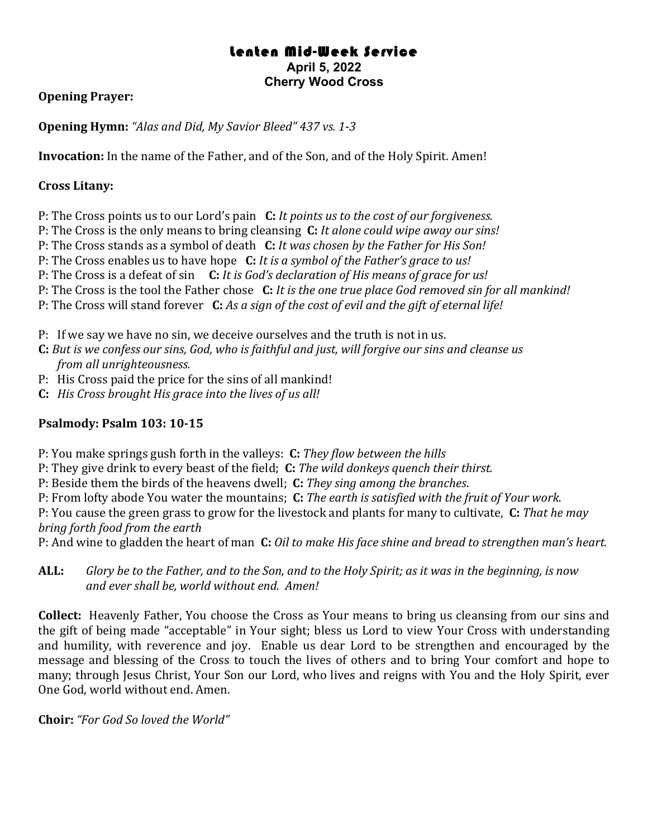# Lenten Mid-Week Service **April 5, 2022 Cherry Wood Cross**

## **Opening Prayer:**

**Opening Hymn:** "Alas and Did, My Savior Bleed" 437 vs. 1-3

**Invocation:** In the name of the Father, and of the Son, and of the Holy Spirit. Amen!

### **Cross Litany:**

P: The Cross points us to our Lord's pain **C:** *It points us to the cost of our forgiveness.* 

P: The Cross is the only means to bring cleansing **C:** It alone could wipe away our sins!

P: The Cross stands as a symbol of death **C:** *It* was chosen by the Father for His Son!

P: The Cross enables us to have hope **C:** *It is a symbol of the Father's grace to us!* 

P: The Cross is a defeat of sin **C:** *It is God's declaration of His means of grace for us!* 

P: The Cross is the tool the Father chose C: *It is the one true place God removed sin for all mankind!* 

P: The Cross will stand forever **C:** *As a sign of the cost of evil and the gift of eternal life!* 

P: If we say we have no sin, we deceive ourselves and the truth is not in us.

- **C:** But is we confess our sins, God, who is faithful and just, will forgive our sins and cleanse us *from all unrighteousness.*
- P: His Cross paid the price for the sins of all mankind!
- **C:** *His Cross brought His grace into the lives of us all!*

## **Psalmody: Psalm 103: 10-15**

P: You make springs gush forth in the valleys: C: They flow between the hills

P: They give drink to every beast of the field; C: The wild donkeys quench their thirst.

P: Beside them the birds of the heavens dwell; **C:** *They sing among the branches.* 

P: From lofty abode You water the mountains; **C:** *The earth is satisfied with the fruit of Your work.* 

P: You cause the green grass to grow for the livestock and plants for many to cultivate, **C:** *That he may bring forth food from the earth*

P: And wine to gladden the heart of man C: *Oil to make His face shine and bread to strengthen man's heart.* 

**ALL:** *Glory be to the Father, and to the Son, and to the Holy Spirit; as it was in the beginning, is now* and ever shall be, world without end. Amen!

**Collect:** Heavenly Father, You choose the Cross as Your means to bring us cleansing from our sins and the gift of being made "acceptable" in Your sight; bless us Lord to view Your Cross with understanding and humility, with reverence and joy. Enable us dear Lord to be strengthen and encouraged by the message and blessing of the Cross to touch the lives of others and to bring Your comfort and hope to many; through Jesus Christ, Your Son our Lord, who lives and reigns with You and the Holy Spirit, ever One God, world without end. Amen.

**Choir:** "For God So loved the World"